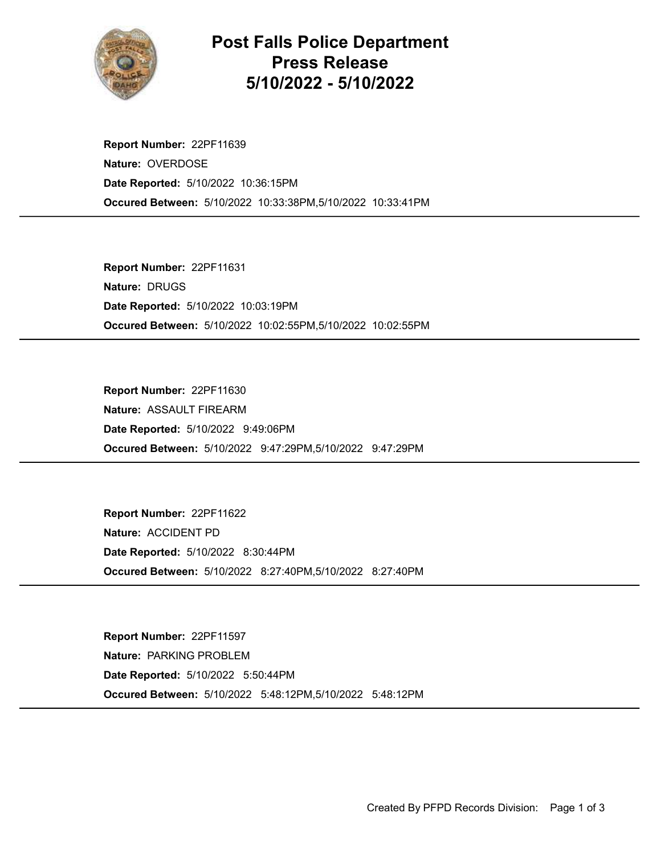

## Post Falls Police Department Press Release 5/10/2022 - 5/10/2022

Occured Between: 5/10/2022 10:33:38PM,5/10/2022 10:33:41PM Report Number: 22PF11639 Nature: OVERDOSE Date Reported: 5/10/2022 10:36:15PM

Occured Between: 5/10/2022 10:02:55PM,5/10/2022 10:02:55PM Report Number: 22PF11631 Nature: DRUGS Date Reported: 5/10/2022 10:03:19PM

Occured Between: 5/10/2022 9:47:29PM,5/10/2022 9:47:29PM Report Number: 22PF11630 Nature: ASSAULT FIREARM Date Reported: 5/10/2022 9:49:06PM

Occured Between: 5/10/2022 8:27:40PM,5/10/2022 8:27:40PM Report Number: 22PF11622 Nature: ACCIDENT PD Date Reported: 5/10/2022 8:30:44PM

Occured Between: 5/10/2022 5:48:12PM,5/10/2022 5:48:12PM Report Number: 22PF11597 Nature: PARKING PROBLEM Date Reported: 5/10/2022 5:50:44PM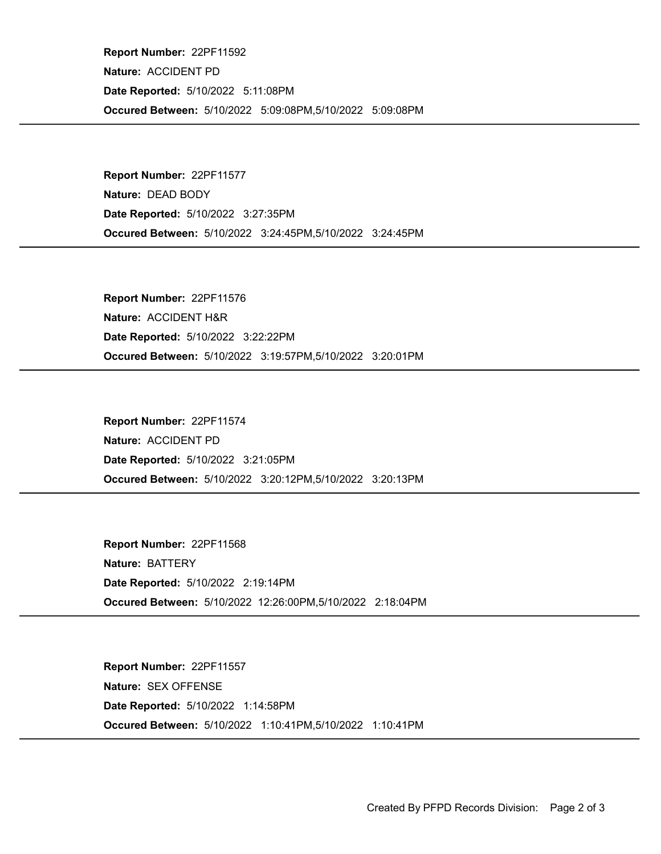Occured Between: 5/10/2022 5:09:08PM,5/10/2022 5:09:08PM Report Number: 22PF11592 Nature: ACCIDENT PD Date Reported: 5/10/2022 5:11:08PM

Occured Between: 5/10/2022 3:24:45PM,5/10/2022 3:24:45PM Report Number: 22PF11577 Nature: DEAD BODY Date Reported: 5/10/2022 3:27:35PM

Occured Between: 5/10/2022 3:19:57PM,5/10/2022 3:20:01PM Report Number: 22PF11576 Nature: ACCIDENT H&R Date Reported: 5/10/2022 3:22:22PM

Occured Between: 5/10/2022 3:20:12PM,5/10/2022 3:20:13PM Report Number: 22PF11574 Nature: ACCIDENT PD Date Reported: 5/10/2022 3:21:05PM

Occured Between: 5/10/2022 12:26:00PM,5/10/2022 2:18:04PM Report Number: 22PF11568 Nature: BATTERY Date Reported: 5/10/2022 2:19:14PM

Occured Between: 5/10/2022 1:10:41PM,5/10/2022 1:10:41PM Report Number: 22PF11557 Nature: SEX OFFENSE Date Reported: 5/10/2022 1:14:58PM